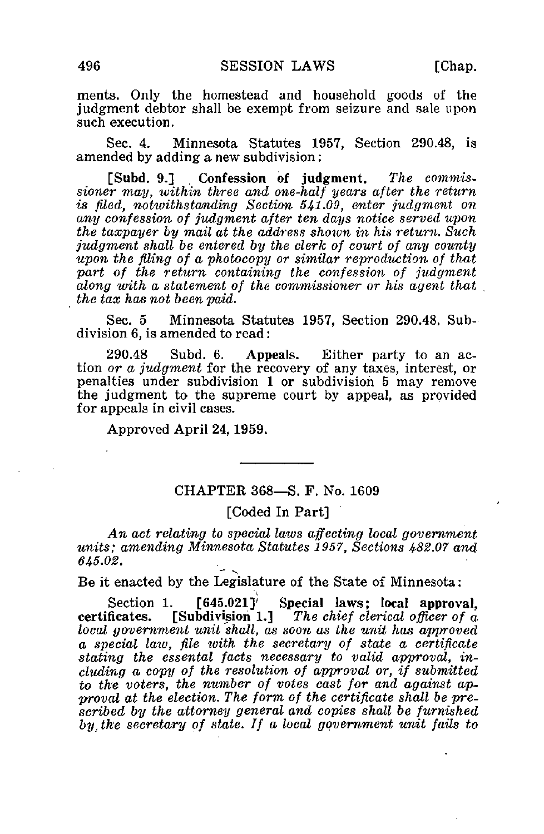ments. Only the homestead and household goods of the judgment debtor shall be exempt from seizure and sale upon such execution.

Sec. 4. Minnesota Statutes 1957, Section 290.48, is amended by adding a new subdivision:

[Subd. 9.] Confession of judgment. The commissioner may, within three and one-half years after the return is filed, notwithstanding Section 541.09, enter judgment on any confession of judgment after ten days notice served upon the taxpayer by mail at the address shown in his return. Such judgment shall be entered by the clerk of court of any county upon the filing of a photocopy or similar reproduction of that part of the return containing the confession of judgment along with a statement of the commissioner or his agent that the tax has not been paid.

Sec. 5 Minnesota Statutes 1957, Section 290.48, Subdivision 6, is amended to read:

290.48 Subd. 6. Appeals. Either party to an action or a judgment for the recovery of any taxes, interest, or penalties under subdivision 1 or subdivision 5 may remove the judgment to the supreme court by appeal, as provided for appeals in civil cases.

Approved April 24,1959.

## CHAPTER 368—S. F. No. 1609

## [Coded In Part]

An act relating to special laws affecting local government units; amending Minnesota Statutes 1957, Sections 482.07 and 645.02.

Be it enacted by the Legislature of the State of Minnesota:

 $[645.021]$ Section 1. [645.021]' Special laws; local approval, certificates. [Subdivision 1.] The chief clerical officer of  $\alpha$ local government unit shall, as soon as the unit has approved a special law, file with the secretary of state a certificate stating the essental facts necessary to valid approval, including a copy of the resolution of approval or, if submitted to the voters, the number of votes cast for and against approval at the election. The form of the certificate shall be prescribed by the attorney general and copies shall be furnished by, the secretary of state. If a local government unit fails to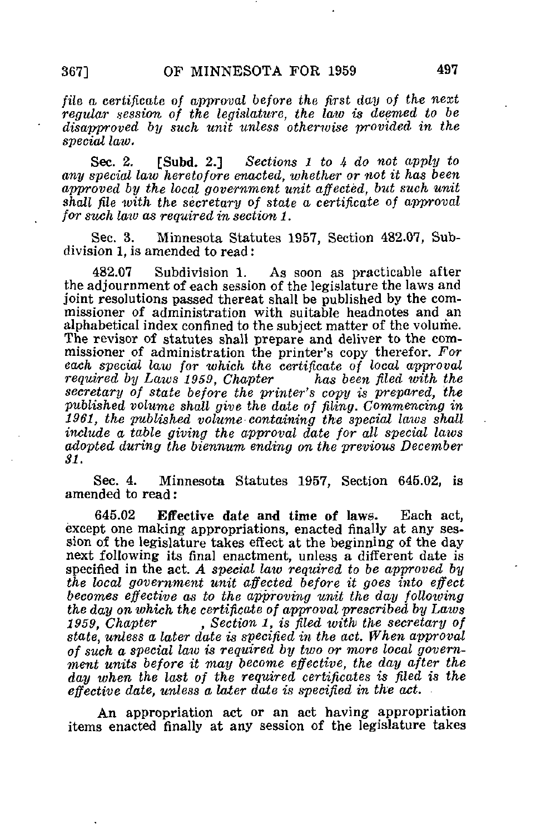file a certificate of approval before the first day of the next regular session of the legislature, the law is deemed to be disapproved by such unit unless otherwise provided in the special law.

Sec. 2. [Subd. 2.] Sections 1 to 4 do not apply to any special law heretofore enacted, whether or not it has been approved by the local government unit affected, but such unit shall file with the secretary of state a certificate of approval for such laiv as required in section 1.

Sec. 3. Minnesota Statutes 1957, Section 482.07, Subdivision 1, is amended to read:

482.07 Subdivision 1. As soon as practicable after the adjournment of each session of the legislature the laws and joint resolutions passed thereat shall be published by the commissioner of administration with suitable headnotes and an alphabetical index confined to the subject matter of the volume. The revisor of statutes shall prepare and deliver to the commissioner of administration the printer's copy therefor. For each special law for which the certificate of local approval<br>required by Laws 1959, Chapter has been filed with the required by Laws 1959, Chapter secretary of state before the printer's copy is prepared, the published volume shall give the date of filing. Commencing in 1961, the published volume containing the special laws shall include a table giving the approval date for all special laws adopted during the biennum ending on the previous December SI.

Sec. 4. Minnesota Statutes 1957, Section 645.02, is amended to read:

645.02 Effective date and time of laws. Each act, except one making appropriations, enacted finally at any session of the legislature takes effect at the beginning of the day next following its final enactment, unless a different date is specified in the act. A special law required to be approved by the local government unit affected before it goes into effect becomes effective as to the approving unit the day following the day on which the certificate of approval prescribed by Laws<br>1959, Chapter  $\qquad \qquad$ , Section 1, is filed with the secretary of , Section 1, is filed with the secretary of state, unless a later date is specified in the act. When approval of such a special laiv is required by two or more local government units before it may become effective, the day after the day when the last of the required certificates is filed is the effective date, unless a later date is specified in the act.

An appropriation act or an act having appropriation items enacted finally at any session of the legislature takes